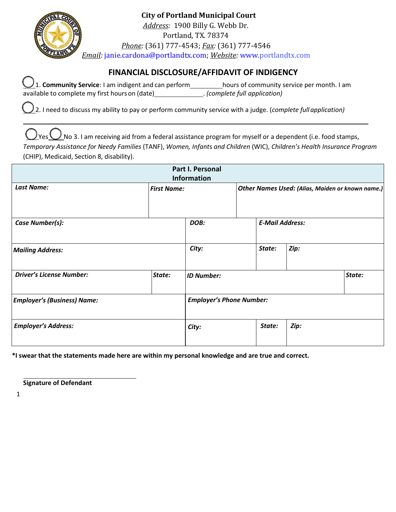

**City of Portland Municipal Court** *Address:* 1900 Billy G. Webb Dr. Portland, TX. 78374 *Phone:* (361) 777-4543; *Fax:* (361) 777-4546 *Email:* [janie.cardona@portla](mailto:court@austintexas.gov)ndtx.com; *[Website:](http://www.austintexas.gov/court)* www.portlandtx.com

## **FINANCIAL DISCLOSURE/AFFIDAVIT OF INDIGENCY**

| $\underline{\bigcup}$ 1. Community Service: I am indigent and can perform | hours of community service per month. I am |
|---------------------------------------------------------------------------|--------------------------------------------|
| available to complete my first hours on (date)                            | . (complete full application)              |

2. I need to discuss my ability to pay or perform community service with a judge. (*complete fullapplication)*

 $\bigcup$ Yes $\bigcup$ No 3. I am receiving aid from a federal assistance program for myself or a dependent (i.e. food stamps, *Temporary Assistance for Needy Families* (TANF), *Women, Infant*s *and Children* (WIC), *Children's Health Insurance Program*  (CHIP), Medicaid, Section 8, disability).

| Part I. Personal<br><b>Information</b> |                    |                                 |                                                  |                        |        |  |
|----------------------------------------|--------------------|---------------------------------|--------------------------------------------------|------------------------|--------|--|
| <b>Last Name:</b>                      | <b>First Name:</b> |                                 | Other Names Used: (Alias, Maiden or known name.) |                        |        |  |
| Case Number(s):                        |                    | DOB:                            |                                                  | <b>E-Mail Address:</b> |        |  |
| <b>Mailing Address:</b>                |                    | City:                           |                                                  | State:                 | Zip:   |  |
| <b>Driver's License Number:</b>        | State:             | <b>ID Number:</b>               |                                                  |                        | State: |  |
| <b>Employer's (Business) Name:</b>     |                    | <b>Employer's Phone Number:</b> |                                                  |                        |        |  |
| <b>Employer's Address:</b>             |                    | City:                           |                                                  | State:                 | Zip:   |  |

**\*I swear that the statements made here are within my personal knowledge and are true and correct.**

**Signature of Defendant**

1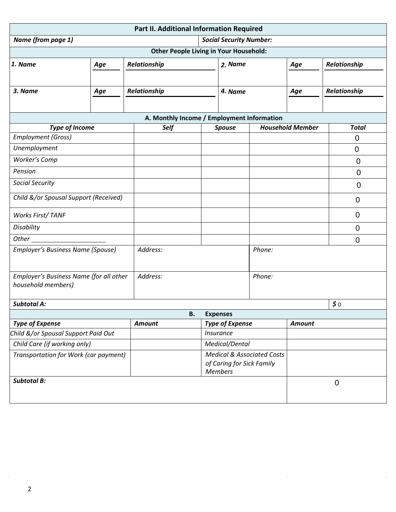| Part II. Additional Information Required                      |     |               |                                               |                                                                                      |                                            |                         |                |
|---------------------------------------------------------------|-----|---------------|-----------------------------------------------|--------------------------------------------------------------------------------------|--------------------------------------------|-------------------------|----------------|
| <b>Social Security Number:</b><br>Name (from page 1)          |     |               |                                               |                                                                                      |                                            |                         |                |
|                                                               |     |               | <b>Other People Living in Your Household:</b> |                                                                                      |                                            |                         |                |
| 1. Name                                                       | Age | Relationship  | 2. Name                                       |                                                                                      | Age                                        | Relationship            |                |
|                                                               |     |               |                                               |                                                                                      |                                            |                         |                |
| 3. Name                                                       | Age | Relationship  |                                               | 4. Name                                                                              |                                            | Age                     | Relationship   |
|                                                               |     |               |                                               |                                                                                      |                                            |                         |                |
|                                                               |     |               |                                               |                                                                                      | A. Monthly Income / Employment Information |                         |                |
| <b>Type of Income</b>                                         |     | Self          |                                               | <b>Spouse</b>                                                                        |                                            | <b>Household Member</b> | <b>Total</b>   |
| <b>Employment (Gross)</b>                                     |     |               |                                               |                                                                                      |                                            |                         | 0              |
| Unemployment                                                  |     |               |                                               |                                                                                      |                                            |                         | $\overline{0}$ |
| <b>Worker's Comp</b>                                          |     |               |                                               |                                                                                      |                                            |                         | $\mathbf 0$    |
| Pension                                                       |     |               |                                               |                                                                                      |                                            |                         | $\overline{0}$ |
| <b>Social Security</b>                                        |     |               |                                               |                                                                                      |                                            |                         | $\overline{0}$ |
| Child &/or Spousal Support (Received)                         |     |               |                                               |                                                                                      |                                            |                         | 0              |
| <b>Works First/TANF</b>                                       |     |               |                                               |                                                                                      |                                            |                         | $\Omega$       |
| Disability                                                    |     |               |                                               |                                                                                      |                                            |                         | $\overline{0}$ |
| Other_                                                        |     |               |                                               |                                                                                      |                                            |                         | $\mathbf 0$    |
| Employer's Business Name (Spouse)                             |     | Address:      |                                               |                                                                                      | Phone:                                     |                         |                |
| Employer's Business Name (for all other<br>household members) |     | Address:      |                                               |                                                                                      | Phone:                                     |                         |                |
| <b>Subtotal A:</b>                                            |     |               |                                               |                                                                                      |                                            |                         | $\sharp$ 0     |
| <b>B.</b><br><b>Expenses</b>                                  |     |               |                                               |                                                                                      |                                            |                         |                |
| <b>Type of Expense</b>                                        |     | <b>Amount</b> |                                               | <b>Type of Expense</b>                                                               |                                            | <b>Amount</b>           |                |
| Child &/or Spousal Support Paid Out                           |     |               |                                               | Insurance                                                                            |                                            |                         |                |
| Child Care (if working only)                                  |     |               |                                               | Medical/Dental                                                                       |                                            |                         |                |
| Transportation for Work (car payment)                         |     |               |                                               | <b>Medical &amp; Associated Costs</b><br>of Caring for Sick Family<br><b>Members</b> |                                            |                         |                |
| <b>Subtotal B:</b>                                            |     |               |                                               |                                                                                      |                                            |                         | $\mathbf 0$    |
|                                                               |     |               |                                               |                                                                                      |                                            |                         |                |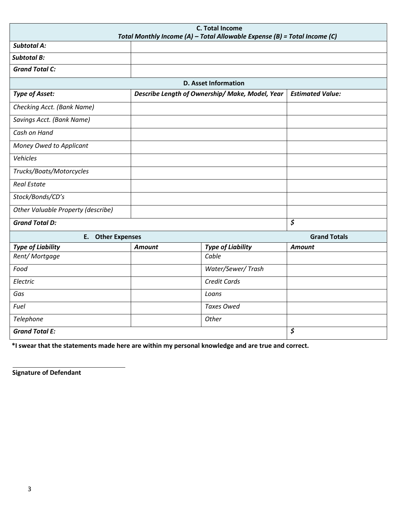| <b>C. Total Income</b><br>Total Monthly Income (A) - Total Allowable Expense (B) = Total Income (C) |               |                                                 |                                 |  |  |
|-----------------------------------------------------------------------------------------------------|---------------|-------------------------------------------------|---------------------------------|--|--|
| <b>Subtotal A:</b>                                                                                  |               |                                                 |                                 |  |  |
| <b>Subtotal B:</b>                                                                                  |               |                                                 |                                 |  |  |
| <b>Grand Total C:</b>                                                                               |               |                                                 |                                 |  |  |
| <b>D. Asset Information</b>                                                                         |               |                                                 |                                 |  |  |
| <b>Type of Asset:</b>                                                                               |               | Describe Length of Ownership/ Make, Model, Year | <b>Estimated Value:</b>         |  |  |
| Checking Acct. (Bank Name)                                                                          |               |                                                 |                                 |  |  |
| Savings Acct. (Bank Name)                                                                           |               |                                                 |                                 |  |  |
| Cash on Hand                                                                                        |               |                                                 |                                 |  |  |
| Money Owed to Applicant                                                                             |               |                                                 |                                 |  |  |
| Vehicles                                                                                            |               |                                                 |                                 |  |  |
| Trucks/Boats/Motorcycles                                                                            |               |                                                 |                                 |  |  |
| <b>Real Estate</b>                                                                                  |               |                                                 |                                 |  |  |
| Stock/Bonds/CD's                                                                                    |               |                                                 |                                 |  |  |
| Other Valuable Property (describe)                                                                  |               |                                                 |                                 |  |  |
| <b>Grand Total D:</b>                                                                               |               |                                                 | $\overline{\boldsymbol{\zeta}}$ |  |  |
| E. Other Expenses                                                                                   |               |                                                 | <b>Grand Totals</b>             |  |  |
| <b>Type of Liability</b>                                                                            | <b>Amount</b> | <b>Type of Liability</b>                        | <b>Amount</b>                   |  |  |
| Rent/Mortgage                                                                                       |               | Cable                                           |                                 |  |  |
| Food                                                                                                |               | Water/Sewer/Trash                               |                                 |  |  |
| Electric                                                                                            |               | <b>Credit Cards</b>                             |                                 |  |  |
| Gas                                                                                                 |               | Loans                                           |                                 |  |  |
| Fuel                                                                                                |               | <b>Taxes Owed</b>                               |                                 |  |  |
| Telephone                                                                                           |               | Other                                           |                                 |  |  |
| <b>Grand Total E:</b>                                                                               |               |                                                 | \$                              |  |  |

 **\*I swear that the statements made here are within my personal knowledge and are true and correct.**

**Signature of Defendant**